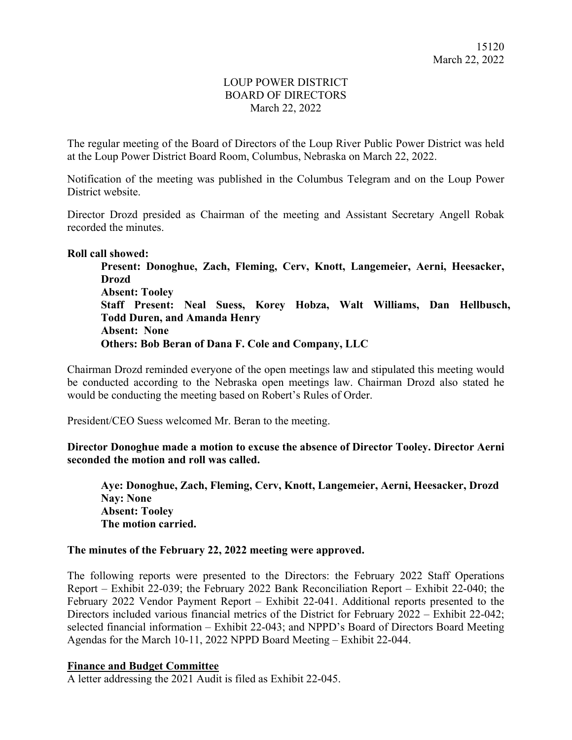# LOUP POWER DISTRICT BOARD OF DIRECTORS March 22, 2022

The regular meeting of the Board of Directors of the Loup River Public Power District was held at the Loup Power District Board Room, Columbus, Nebraska on March 22, 2022.

Notification of the meeting was published in the Columbus Telegram and on the Loup Power District website.

Director Drozd presided as Chairman of the meeting and Assistant Secretary Angell Robak recorded the minutes.

#### **Roll call showed:**

**Present: Donoghue, Zach, Fleming, Cerv, Knott, Langemeier, Aerni, Heesacker, Drozd Absent: Tooley Staff Present: Neal Suess, Korey Hobza, Walt Williams, Dan Hellbusch, Todd Duren, and Amanda Henry Absent: None Others: Bob Beran of Dana F. Cole and Company, LLC** 

Chairman Drozd reminded everyone of the open meetings law and stipulated this meeting would be conducted according to the Nebraska open meetings law. Chairman Drozd also stated he would be conducting the meeting based on Robert's Rules of Order.

President/CEO Suess welcomed Mr. Beran to the meeting.

**Director Donoghue made a motion to excuse the absence of Director Tooley. Director Aerni seconded the motion and roll was called.** 

**Aye: Donoghue, Zach, Fleming, Cerv, Knott, Langemeier, Aerni, Heesacker, Drozd Nay: None Absent: Tooley The motion carried.** 

### **The minutes of the February 22, 2022 meeting were approved.**

The following reports were presented to the Directors: the February 2022 Staff Operations Report – Exhibit 22-039; the February 2022 Bank Reconciliation Report – Exhibit 22-040; the February 2022 Vendor Payment Report – Exhibit 22-041. Additional reports presented to the Directors included various financial metrics of the District for February 2022 – Exhibit 22-042; selected financial information – Exhibit 22-043; and NPPD's Board of Directors Board Meeting Agendas for the March 10-11, 2022 NPPD Board Meeting – Exhibit 22-044.

### **Finance and Budget Committee**

A letter addressing the 2021 Audit is filed as Exhibit 22-045.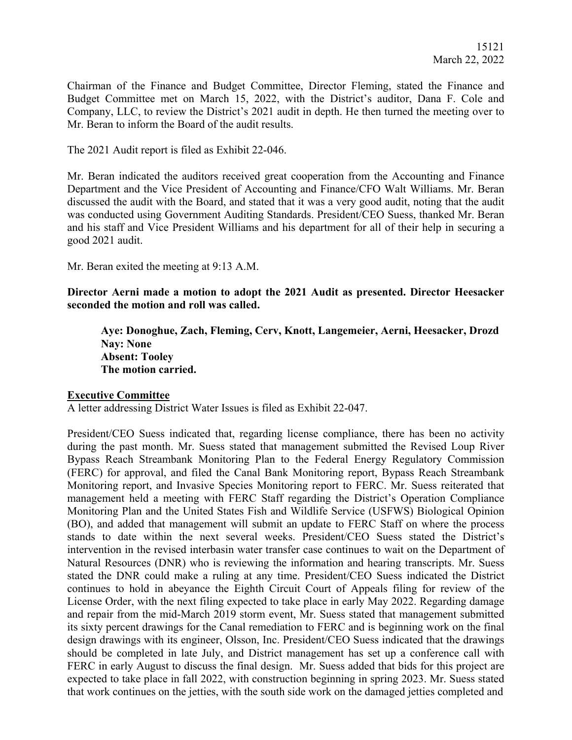Chairman of the Finance and Budget Committee, Director Fleming, stated the Finance and Budget Committee met on March 15, 2022, with the District's auditor, Dana F. Cole and Company, LLC, to review the District's 2021 audit in depth. He then turned the meeting over to Mr. Beran to inform the Board of the audit results.

The 2021 Audit report is filed as Exhibit 22-046.

Mr. Beran indicated the auditors received great cooperation from the Accounting and Finance Department and the Vice President of Accounting and Finance/CFO Walt Williams. Mr. Beran discussed the audit with the Board, and stated that it was a very good audit, noting that the audit was conducted using Government Auditing Standards. President/CEO Suess, thanked Mr. Beran and his staff and Vice President Williams and his department for all of their help in securing a good 2021 audit.

Mr. Beran exited the meeting at 9:13 A.M.

**Director Aerni made a motion to adopt the 2021 Audit as presented. Director Heesacker seconded the motion and roll was called.** 

**Aye: Donoghue, Zach, Fleming, Cerv, Knott, Langemeier, Aerni, Heesacker, Drozd Nay: None Absent: Tooley The motion carried.** 

#### **Executive Committee**

A letter addressing District Water Issues is filed as Exhibit 22-047.

President/CEO Suess indicated that, regarding license compliance, there has been no activity during the past month. Mr. Suess stated that management submitted the Revised Loup River Bypass Reach Streambank Monitoring Plan to the Federal Energy Regulatory Commission (FERC) for approval, and filed the Canal Bank Monitoring report, Bypass Reach Streambank Monitoring report, and Invasive Species Monitoring report to FERC. Mr. Suess reiterated that management held a meeting with FERC Staff regarding the District's Operation Compliance Monitoring Plan and the United States Fish and Wildlife Service (USFWS) Biological Opinion (BO), and added that management will submit an update to FERC Staff on where the process stands to date within the next several weeks. President/CEO Suess stated the District's intervention in the revised interbasin water transfer case continues to wait on the Department of Natural Resources (DNR) who is reviewing the information and hearing transcripts. Mr. Suess stated the DNR could make a ruling at any time. President/CEO Suess indicated the District continues to hold in abeyance the Eighth Circuit Court of Appeals filing for review of the License Order, with the next filing expected to take place in early May 2022. Regarding damage and repair from the mid-March 2019 storm event, Mr. Suess stated that management submitted its sixty percent drawings for the Canal remediation to FERC and is beginning work on the final design drawings with its engineer, Olsson, Inc. President/CEO Suess indicated that the drawings should be completed in late July, and District management has set up a conference call with FERC in early August to discuss the final design. Mr. Suess added that bids for this project are expected to take place in fall 2022, with construction beginning in spring 2023. Mr. Suess stated that work continues on the jetties, with the south side work on the damaged jetties completed and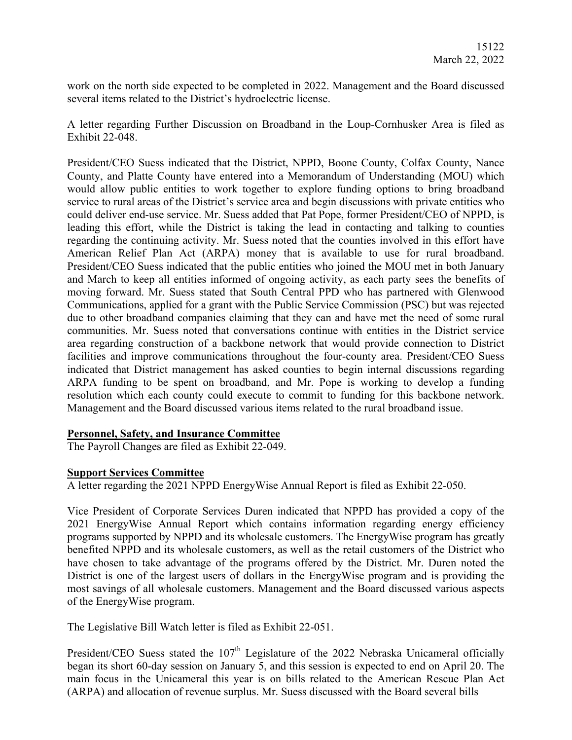work on the north side expected to be completed in 2022. Management and the Board discussed several items related to the District's hydroelectric license.

A letter regarding Further Discussion on Broadband in the Loup-Cornhusker Area is filed as Exhibit 22-048.

President/CEO Suess indicated that the District, NPPD, Boone County, Colfax County, Nance County, and Platte County have entered into a Memorandum of Understanding (MOU) which would allow public entities to work together to explore funding options to bring broadband service to rural areas of the District's service area and begin discussions with private entities who could deliver end-use service. Mr. Suess added that Pat Pope, former President/CEO of NPPD, is leading this effort, while the District is taking the lead in contacting and talking to counties regarding the continuing activity. Mr. Suess noted that the counties involved in this effort have American Relief Plan Act (ARPA) money that is available to use for rural broadband. President/CEO Suess indicated that the public entities who joined the MOU met in both January and March to keep all entities informed of ongoing activity, as each party sees the benefits of moving forward. Mr. Suess stated that South Central PPD who has partnered with Glenwood Communications, applied for a grant with the Public Service Commission (PSC) but was rejected due to other broadband companies claiming that they can and have met the need of some rural communities. Mr. Suess noted that conversations continue with entities in the District service area regarding construction of a backbone network that would provide connection to District facilities and improve communications throughout the four-county area. President/CEO Suess indicated that District management has asked counties to begin internal discussions regarding ARPA funding to be spent on broadband, and Mr. Pope is working to develop a funding resolution which each county could execute to commit to funding for this backbone network. Management and the Board discussed various items related to the rural broadband issue.

# **Personnel, Safety, and Insurance Committee**

The Payroll Changes are filed as Exhibit 22-049.

### **Support Services Committee**

A letter regarding the 2021 NPPD EnergyWise Annual Report is filed as Exhibit 22-050.

Vice President of Corporate Services Duren indicated that NPPD has provided a copy of the 2021 EnergyWise Annual Report which contains information regarding energy efficiency programs supported by NPPD and its wholesale customers. The EnergyWise program has greatly benefited NPPD and its wholesale customers, as well as the retail customers of the District who have chosen to take advantage of the programs offered by the District. Mr. Duren noted the District is one of the largest users of dollars in the EnergyWise program and is providing the most savings of all wholesale customers. Management and the Board discussed various aspects of the EnergyWise program.

The Legislative Bill Watch letter is filed as Exhibit 22-051.

President/CEO Suess stated the  $107<sup>th</sup>$  Legislature of the 2022 Nebraska Unicameral officially began its short 60-day session on January 5, and this session is expected to end on April 20. The main focus in the Unicameral this year is on bills related to the American Rescue Plan Act (ARPA) and allocation of revenue surplus. Mr. Suess discussed with the Board several bills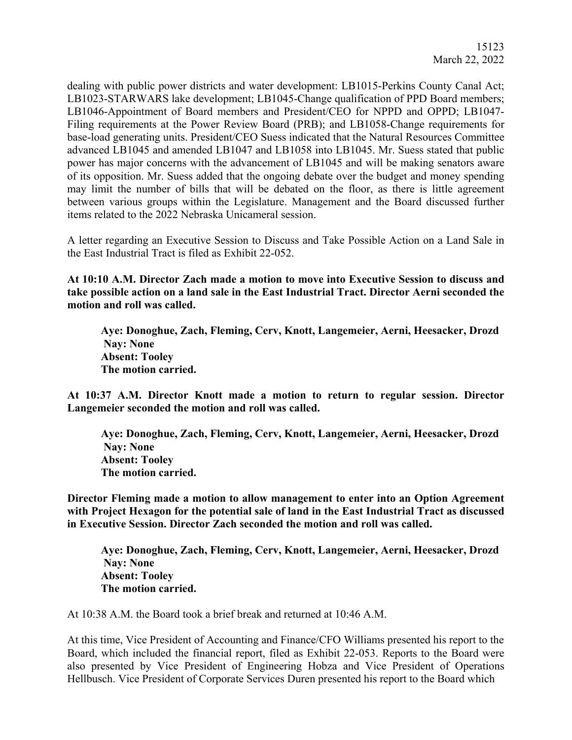dealing with public power districts and water development: LB1015-Perkins County Canal Act; LB1023-STARWARS lake development; LB1045-Change qualification of PPD Board members; LB1046-Appointment of Board members and President/CEO for NPPD and OPPD; LB1047- Filing requirements at the Power Review Board (PRB); and LB1058-Change requirements for base-load generating units. President/CEO Suess indicated that the Natural Resources Committee advanced LB1045 and amended LB1047 and LB1058 into LB1045. Mr. Suess stated that public power has major concerns with the advancement of LB1045 and will be making senators aware of its opposition. Mr. Suess added that the ongoing debate over the budget and money spending may limit the number of bills that will be debated on the floor, as there is little agreement between various groups within the Legislature. Management and the Board discussed further items related to the 2022 Nebraska Unicameral session.

A letter regarding an Executive Session to Discuss and Take Possible Action on a Land Sale in the East Industrial Tract is filed as Exhibit 22-052.

**At 10:10 A.M. Director Zach made a motion to move into Executive Session to discuss and take possible action on a land sale in the East Industrial Tract. Director Aerni seconded the motion and roll was called.** 

**Aye: Donoghue, Zach, Fleming, Cerv, Knott, Langemeier, Aerni, Heesacker, Drozd Nay: None Absent: Tooley The motion carried.** 

**At 10:37 A.M. Director Knott made a motion to return to regular session. Director Langemeier seconded the motion and roll was called.** 

**Aye: Donoghue, Zach, Fleming, Cerv, Knott, Langemeier, Aerni, Heesacker, Drozd Nay: None Absent: Tooley The motion carried.** 

**Director Fleming made a motion to allow management to enter into an Option Agreement with Project Hexagon for the potential sale of land in the East Industrial Tract as discussed in Executive Session. Director Zach seconded the motion and roll was called.** 

**Aye: Donoghue, Zach, Fleming, Cerv, Knott, Langemeier, Aerni, Heesacker, Drozd Nay: None Absent: Tooley The motion carried.** 

At 10:38 A.M. the Board took a brief break and returned at 10:46 A.M.

At this time, Vice President of Accounting and Finance/CFO Williams presented his report to the Board, which included the financial report, filed as Exhibit 22-053. Reports to the Board were also presented by Vice President of Engineering Hobza and Vice President of Operations Hellbusch. Vice President of Corporate Services Duren presented his report to the Board which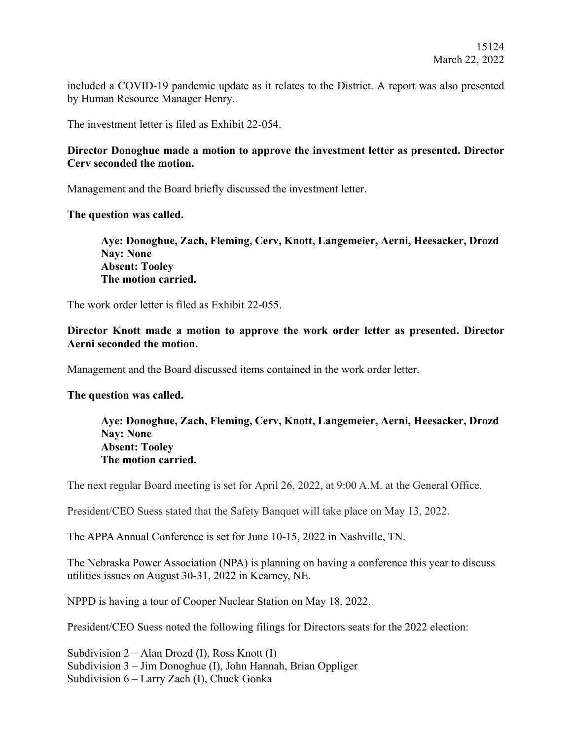included a COVID-19 pandemic update as it relates to the District. A report was also presented by Human Resource Manager Henry.

The investment letter is filed as Exhibit 22-054.

### **Director Donoghue made a motion to approve the investment letter as presented. Director Cerv seconded the motion.**

Management and the Board briefly discussed the investment letter.

### **The question was called.**

**Aye: Donoghue, Zach, Fleming, Cerv, Knott, Langemeier, Aerni, Heesacker, Drozd Nay: None Absent: Tooley The motion carried.** 

The work order letter is filed as Exhibit 22-055.

# **Director Knott made a motion to approve the work order letter as presented. Director Aerni seconded the motion.**

Management and the Board discussed items contained in the work order letter.

# **The question was called.**

**Aye: Donoghue, Zach, Fleming, Cerv, Knott, Langemeier, Aerni, Heesacker, Drozd Nay: None Absent: Tooley The motion carried.** 

The next regular Board meeting is set for April 26, 2022, at 9:00 A.M. at the General Office.

President/CEO Suess stated that the Safety Banquet will take place on May 13, 2022.

The APPA Annual Conference is set for June 10-15, 2022 in Nashville, TN.

The Nebraska Power Association (NPA) is planning on having a conference this year to discuss utilities issues on August 30-31, 2022 in Kearney, NE.

NPPD is having a tour of Cooper Nuclear Station on May 18, 2022.

President/CEO Suess noted the following filings for Directors seats for the 2022 election:

Subdivision  $2 -$  Alan Drozd (I), Ross Knott (I) Subdivision 3 – Jim Donoghue (I), John Hannah, Brian Oppliger Subdivision 6 – Larry Zach (I), Chuck Gonka